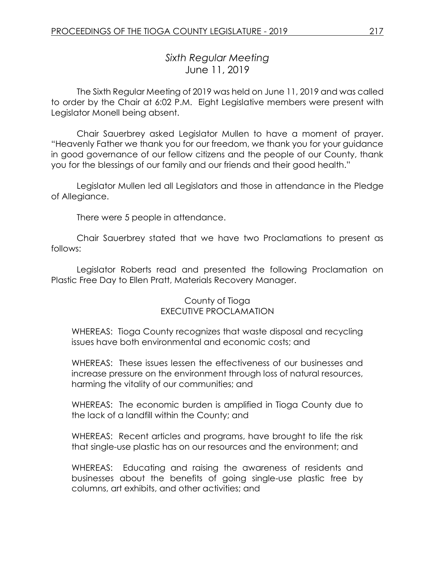# *Sixth Regular Meeting* June 11, 2019

The Sixth Regular Meeting of 2019 was held on June 11, 2019 and was called to order by the Chair at 6:02 P.M. Eight Legislative members were present with Legislator Monell being absent.

Chair Sauerbrey asked Legislator Mullen to have a moment of prayer. "Heavenly Father we thank you for our freedom, we thank you for your guidance in good governance of our fellow citizens and the people of our County, thank you for the blessings of our family and our friends and their good health."

Legislator Mullen led all Legislators and those in attendance in the Pledge of Allegiance.

There were 5 people in attendance.

Chair Sauerbrey stated that we have two Proclamations to present as follows:

Legislator Roberts read and presented the following Proclamation on Plastic Free Day to Ellen Pratt, Materials Recovery Manager.

## County of Tioga EXECUTIVE PROCLAMATION

WHEREAS: Tioga County recognizes that waste disposal and recycling issues have both environmental and economic costs; and

WHEREAS: These issues lessen the effectiveness of our businesses and increase pressure on the environment through loss of natural resources, harming the vitality of our communities; and

WHEREAS: The economic burden is amplified in Tioga County due to the lack of a landfill within the County; and

WHEREAS: Recent articles and programs, have brought to life the risk that single-use plastic has on our resources and the environment; and

WHEREAS: Educating and raising the awareness of residents and businesses about the benefits of going single-use plastic free by columns, art exhibits, and other activities; and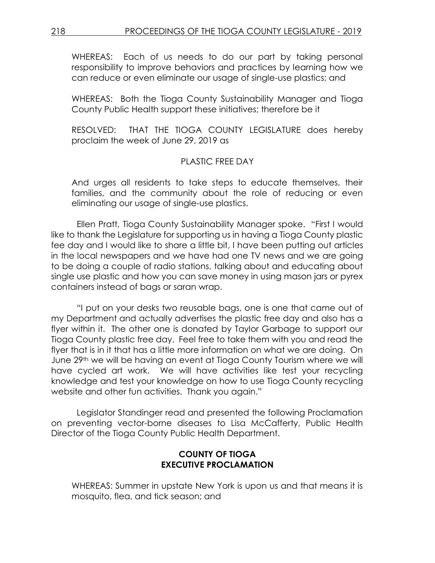WHEREAS: Each of us needs to do our part by taking personal responsibility to improve behaviors and practices by learning how we can reduce or even eliminate our usage of single-use plastics; and

WHEREAS: Both the Tioga County Sustainability Manager and Tioga County Public Health support these initiatives; therefore be it

RESOLVED: THAT THE TIOGA COUNTY LEGISLATURE does hereby proclaim the week of June 29, 2019 as

# PLASTIC FREE DAY

And urges all residents to take steps to educate themselves, their families, and the community about the role of reducing or even eliminating our usage of single-use plastics.

Ellen Pratt, Tioga County Sustainability Manager spoke. "First I would like to thank the Legislature for supporting us in having a Tioga County plastic fee day and I would like to share a little bit, I have been putting out articles in the local newspapers and we have had one TV news and we are going to be doing a couple of radio stations, talking about and educating about single use plastic and how you can save money in using mason jars or pyrex containers instead of bags or saran wrap.

"I put on your desks two reusable bags, one is one that came out of my Department and actually advertises the plastic free day and also has a flyer within it. The other one is donated by Taylor Garbage to support our Tioga County plastic free day. Feel free to take them with you and read the flyer that is in it that has a little more information on what we are doing. On June 29th we will be having an event at Tioga County Tourism where we will have cycled art work. We will have activities like test your recycling knowledge and test your knowledge on how to use Tioga County recycling website and other fun activities. Thank you again."

Legislator Standinger read and presented the following Proclamation on preventing vector-borne diseases to Lisa McCafferty, Public Health Director of the Tioga County Public Health Department.

# **COUNTY OF TIOGA EXECUTIVE PROCLAMATION**

WHEREAS: Summer in upstate New York is upon us and that means it is mosquito, flea, and tick season; and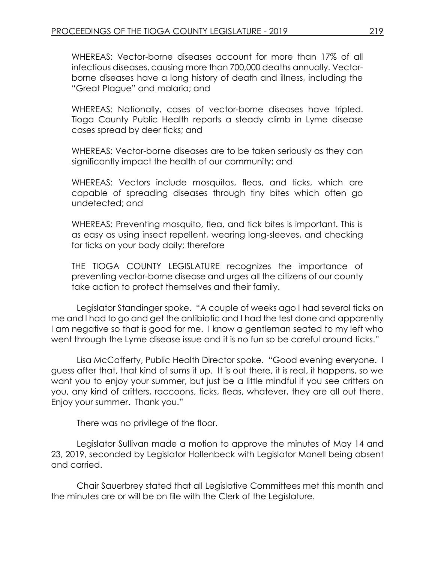WHEREAS: Vector-borne diseases account for more than 17% of all infectious diseases, causing more than 700,000 deaths annually. Vectorborne diseases have a long history of death and illness, including the "Great Plague" and malaria; and

WHEREAS: Nationally, cases of vector-borne diseases have tripled. Tioga County Public Health reports a steady climb in Lyme disease cases spread by deer ticks; and

WHEREAS: Vector-borne diseases are to be taken seriously as they can significantly impact the health of our community; and

WHEREAS: Vectors include mosquitos, fleas, and ticks, which are capable of spreading diseases through tiny bites which often go undetected; and

WHEREAS: Preventing mosquito, flea, and tick bites is important. This is as easy as using insect repellent, wearing long-sleeves, and checking for ticks on your body daily; therefore

THE TIOGA COUNTY LEGISLATURE recognizes the importance of preventing vector-borne disease and urges all the citizens of our county take action to protect themselves and their family.

Legislator Standinger spoke. "A couple of weeks ago I had several ticks on me and I had to go and get the antibiotic and I had the test done and apparently I am negative so that is good for me. I know a gentleman seated to my left who went through the Lyme disease issue and it is no fun so be careful around ticks."

Lisa McCafferty, Public Health Director spoke. "Good evening everyone. I guess after that, that kind of sums it up. It is out there, it is real, it happens, so we want you to enjoy your summer, but just be a little mindful if you see critters on you, any kind of critters, raccoons, ticks, fleas, whatever, they are all out there. Enjoy your summer. Thank you."

There was no privilege of the floor.

Legislator Sullivan made a motion to approve the minutes of May 14 and 23, 2019, seconded by Legislator Hollenbeck with Legislator Monell being absent and carried.

Chair Sauerbrey stated that all Legislative Committees met this month and the minutes are or will be on file with the Clerk of the Legislature.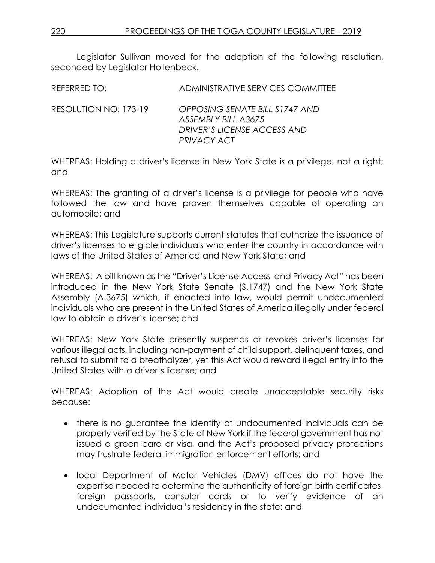Legislator Sullivan moved for the adoption of the following resolution, seconded by Legislator Hollenbeck.

| REFERRED TO: I        | ADMINISTRATIVE SERVICES COMMITTEE                                                    |
|-----------------------|--------------------------------------------------------------------------------------|
| RESOLUTION NO: 173-19 | OPPOSING SENATE BILL S1747 AND<br>ASSEMBLY BILL A3675<br>DRIVER'S LICENSE ACCESS AND |

WHEREAS: Holding a driver's license in New York State is a privilege, not a right; and

*PRIVACY ACT*

WHEREAS: The granting of a driver's license is a privilege for people who have followed the law and have proven themselves capable of operating an automobile; and

WHEREAS: This Legislature supports current statutes that authorize the issuance of driver's licenses to eligible individuals who enter the country in accordance with laws of the United States of America and New York State; and

WHEREAS: A bill known as the "Driver's License Access and Privacy Act" has been introduced in the New York State Senate (S.1747) and the New York State Assembly (A.3675) which, if enacted into law, would permit undocumented individuals who are present in the United States of America illegally under federal law to obtain a driver's license; and

WHEREAS: New York State presently suspends or revokes driver's licenses for various illegal acts, including non-payment of child support, delinquent taxes, and refusal to submit to a breathalyzer, yet this Act would reward illegal entry into the United States with a driver's license; and

WHEREAS: Adoption of the Act would create unacceptable security risks because:

- there is no guarantee the identity of undocumented individuals can be properly verified by the State of New York if the federal government has not issued a green card or visa, and the Act's proposed privacy protections may frustrate federal immigration enforcement efforts; and
- local Department of Motor Vehicles (DMV) offices do not have the expertise needed to determine the authenticity of foreign birth certificates, foreign passports, consular cards or to verify evidence of an undocumented individual's residency in the state; and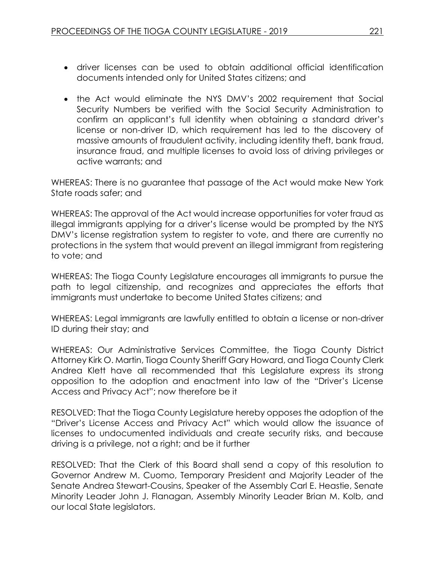- driver licenses can be used to obtain additional official identification documents intended only for United States citizens; and
- the Act would eliminate the NYS DMV's 2002 requirement that Social Security Numbers be verified with the Social Security Administration to confirm an applicant's full identity when obtaining a standard driver's license or non-driver ID, which requirement has led to the discovery of massive amounts of fraudulent activity, including identity theft, bank fraud, insurance fraud, and multiple licenses to avoid loss of driving privileges or active warrants; and

WHEREAS: There is no guarantee that passage of the Act would make New York State roads safer; and

WHEREAS: The approval of the Act would increase opportunities for voter fraud as illegal immigrants applying for a driver's license would be prompted by the NYS DMV's license registration system to register to vote, and there are currently no protections in the system that would prevent an illegal immigrant from registering to vote; and

WHEREAS: The Tioga County Legislature encourages all immigrants to pursue the path to legal citizenship, and recognizes and appreciates the efforts that immigrants must undertake to become United States citizens; and

WHEREAS: Legal immigrants are lawfully entitled to obtain a license or non-driver ID during their stay; and

WHEREAS: Our Administrative Services Committee, the Tioga County District Attorney Kirk O. Martin, Tioga County Sheriff Gary Howard, and Tioga County Clerk Andrea Klett have all recommended that this Legislature express its strong opposition to the adoption and enactment into law of the "Driver's License Access and Privacy Act"; now therefore be it

RESOLVED: That the Tioga County Legislature hereby opposes the adoption of the "Driver's License Access and Privacy Act" which would allow the issuance of licenses to undocumented individuals and create security risks, and because driving is a privilege, not a right; and be it further

RESOLVED: That the Clerk of this Board shall send a copy of this resolution to Governor Andrew M. Cuomo, Temporary President and Majority Leader of the Senate Andrea Stewart-Cousins, Speaker of the Assembly Carl E. Heastie, Senate Minority Leader John J. Flanagan, Assembly Minority Leader Brian M. Kolb, and our local State legislators.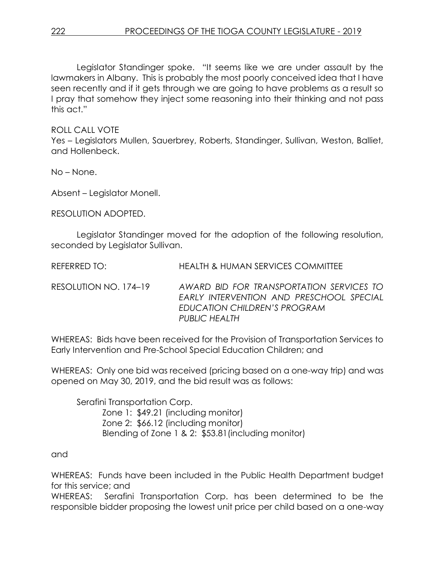Legislator Standinger spoke. "It seems like we are under assault by the lawmakers in Albany. This is probably the most poorly conceived idea that I have seen recently and if it gets through we are going to have problems as a result so I pray that somehow they inject some reasoning into their thinking and not pass this act."

ROLL CALL VOTE

Yes – Legislators Mullen, Sauerbrey, Roberts, Standinger, Sullivan, Weston, Balliet, and Hollenbeck.

No – None.

Absent – Legislator Monell.

RESOLUTION ADOPTED.

Legislator Standinger moved for the adoption of the following resolution, seconded by Legislator Sullivan.

| REFERRED TO:          | <b>HEALTH &amp; HUMAN SERVICES COMMITTEE</b>                                                                                          |
|-----------------------|---------------------------------------------------------------------------------------------------------------------------------------|
| RESOLUTION NO. 174–19 | AWARD BID FOR TRANSPORTATION SERVICES TO<br>EARLY INTERVENTION AND PRESCHOOL SPECIAL<br>EDUCATION CHILDREN'S PROGRAM<br>PUBLIC HEALTH |

WHEREAS: Bids have been received for the Provision of Transportation Services to Early Intervention and Pre-School Special Education Children; and

WHEREAS: Only one bid was received (pricing based on a one-way trip) and was opened on May 30, 2019, and the bid result was as follows:

Serafini Transportation Corp. Zone 1: \$49.21 (including monitor) Zone 2: \$66.12 (including monitor) Blending of Zone 1 & 2: \$53.81(including monitor)

and

WHEREAS: Funds have been included in the Public Health Department budget for this service; and

WHEREAS: Serafini Transportation Corp. has been determined to be the responsible bidder proposing the lowest unit price per child based on a one-way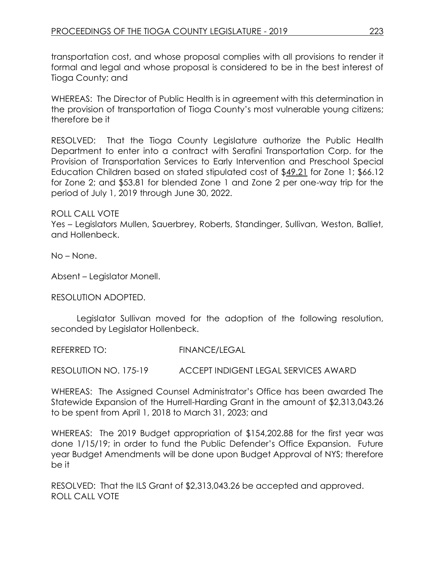transportation cost, and whose proposal complies with all provisions to render it formal and legal and whose proposal is considered to be in the best interest of Tioga County; and

WHEREAS: The Director of Public Health is in agreement with this determination in the provision of transportation of Tioga County's most vulnerable young citizens; therefore be it

RESOLVED: That the Tioga County Legislature authorize the Public Health Department to enter into a contract with Serafini Transportation Corp. for the Provision of Transportation Services to Early Intervention and Preschool Special Education Children based on stated stipulated cost of \$49.21 for Zone 1; \$66.12 for Zone 2; and \$53.81 for blended Zone 1 and Zone 2 per one-way trip for the period of July 1, 2019 through June 30, 2022.

## ROLL CALL VOTE

Yes – Legislators Mullen, Sauerbrey, Roberts, Standinger, Sullivan, Weston, Balliet, and Hollenbeck.

No – None.

Absent – Legislator Monell.

RESOLUTION ADOPTED.

Legislator Sullivan moved for the adoption of the following resolution, seconded by Legislator Hollenbeck.

REFERRED TO: FINANCE/LEGAL

RESOLUTION NO. 175-19 ACCEPT INDIGENT LEGAL SERVICES AWARD

WHEREAS: The Assigned Counsel Administrator's Office has been awarded The Statewide Expansion of the Hurrell-Harding Grant in the amount of \$2,313,043.26 to be spent from April 1, 2018 to March 31, 2023; and

WHEREAS: The 2019 Budget appropriation of \$154,202.88 for the first year was done 1/15/19; in order to fund the Public Defender's Office Expansion. Future year Budget Amendments will be done upon Budget Approval of NYS; therefore be it

RESOLVED: That the ILS Grant of \$2,313,043.26 be accepted and approved. ROLL CALL VOTE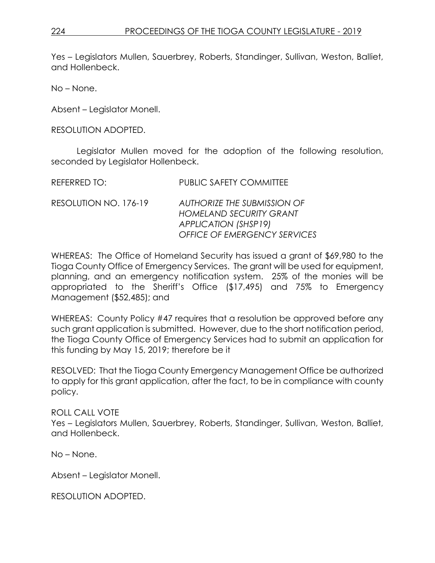Yes – Legislators Mullen, Sauerbrey, Roberts, Standinger, Sullivan, Weston, Balliet, and Hollenbeck.

No – None.

Absent – Legislator Monell.

RESOLUTION ADOPTED.

Legislator Mullen moved for the adoption of the following resolution, seconded by Legislator Hollenbeck.

REFERRED TO: PUBLIC SAFETY COMMITTEE

RESOLUTION NO. 176-19 *AUTHORIZE THE SUBMISSION OF HOMELAND SECURITY GRANT APPLICATION (SHSP19) OFFICE OF EMERGENCY SERVICES*

WHEREAS: The Office of Homeland Security has issued a grant of \$69,980 to the Tioga County Office of Emergency Services. The grant will be used for equipment, planning, and an emergency notification system. 25% of the monies will be appropriated to the Sheriff's Office (\$17,495) and 75% to Emergency Management (\$52,485); and

WHEREAS: County Policy #47 requires that a resolution be approved before any such grant application is submitted. However, due to the short notification period, the Tioga County Office of Emergency Services had to submit an application for this funding by May 15, 2019; therefore be it

RESOLVED: That the Tioga County Emergency Management Office be authorized to apply for this grant application, after the fact, to be in compliance with county policy.

ROLL CALL VOTE

Yes – Legislators Mullen, Sauerbrey, Roberts, Standinger, Sullivan, Weston, Balliet, and Hollenbeck.

No – None.

Absent – Legislator Monell.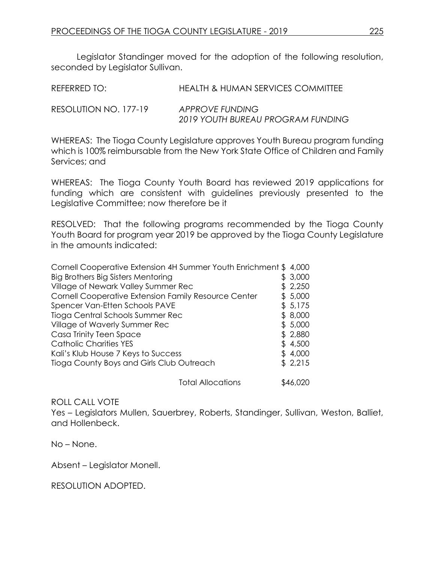Legislator Standinger moved for the adoption of the following resolution, seconded by Legislator Sullivan.

| REFERRED TO:          | HEALTH & HUMAN SERVICES COMMITTEE                    |
|-----------------------|------------------------------------------------------|
| RESOLUTION NO. 177-19 | APPROVE FUNDING<br>2019 YOUTH BUREAU PROGRAM FUNDING |

WHEREAS: The Tioga County Legislature approves Youth Bureau program funding which is 100% reimbursable from the New York State Office of Children and Family Services; and

WHEREAS: The Tioga County Youth Board has reviewed 2019 applications for funding which are consistent with guidelines previously presented to the Legislative Committee; now therefore be it

RESOLVED: That the following programs recommended by the Tioga County Youth Board for program year 2019 be approved by the Tioga County Legislature in the amounts indicated:

| Cornell Cooperative Extension 4H Summer Youth Enrichment \$4,000 |  |          |
|------------------------------------------------------------------|--|----------|
| Big Brothers Big Sisters Mentoring                               |  | \$3,000  |
| Village of Newark Valley Summer Rec                              |  | \$2,250  |
| Cornell Cooperative Extension Family Resource Center             |  | \$5,000  |
| Spencer Van-Etten Schools PAVE                                   |  | \$5,175  |
| Tioga Central Schools Summer Rec                                 |  | \$8,000  |
| Village of Waverly Summer Rec                                    |  | \$5,000  |
| Casa Trinity Teen Space                                          |  | \$2,880  |
| <b>Catholic Charities YES</b>                                    |  | \$4,500  |
| Kali's Klub House 7 Keys to Success                              |  | \$4,000  |
| Tioga County Boys and Girls Club Outreach                        |  | \$2,215  |
| <b>Total Allocations</b>                                         |  | \$46.020 |

#### ROLL CALL VOTE

Yes – Legislators Mullen, Sauerbrey, Roberts, Standinger, Sullivan, Weston, Balliet, and Hollenbeck.

No – None.

Absent – Legislator Monell.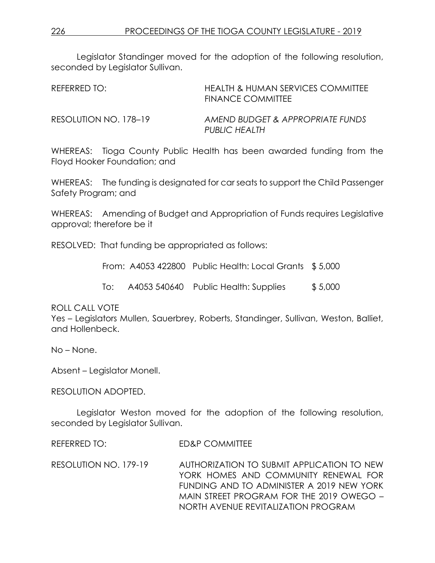Legislator Standinger moved for the adoption of the following resolution, seconded by Legislator Sullivan.

| REFERRED TO:          | HEALTH & HUMAN SERVICES COMMITTEE<br><b>FINANCE COMMITTEE</b> |
|-----------------------|---------------------------------------------------------------|
| RESOLUTION NO. 178–19 | AMEND BUDGET & APPROPRIATE FUNDS<br>PUBLIC HEALTH             |

WHEREAS: Tioga County Public Health has been awarded funding from the Floyd Hooker Foundation; and

WHEREAS: The funding is designated for car seats to support the Child Passenger Safety Program; and

WHEREAS: Amending of Budget and Appropriation of Funds requires Legislative approval; therefore be it

RESOLVED: That funding be appropriated as follows:

From: A4053 422800 Public Health: Local Grants \$ 5,000

To: A4053 540640 Public Health: Supplies \$ 5,000

ROLL CALL VOTE

Yes – Legislators Mullen, Sauerbrey, Roberts, Standinger, Sullivan, Weston, Balliet, and Hollenbeck.

No – None.

Absent – Legislator Monell.

#### RESOLUTION ADOPTED.

Legislator Weston moved for the adoption of the following resolution, seconded by Legislator Sullivan.

REFERRED TO: ED&P COMMITTEE

RESOLUTION NO. 179-19 AUTHORIZATION TO SUBMIT APPLICATION TO NEW YORK HOMES AND COMMUNITY RENEWAL FOR FUNDING AND TO ADMINISTER A 2019 NEW YORK MAIN STREET PROGRAM FOR THE 2019 OWEGO – NORTH AVENUE REVITALIZATION PROGRAM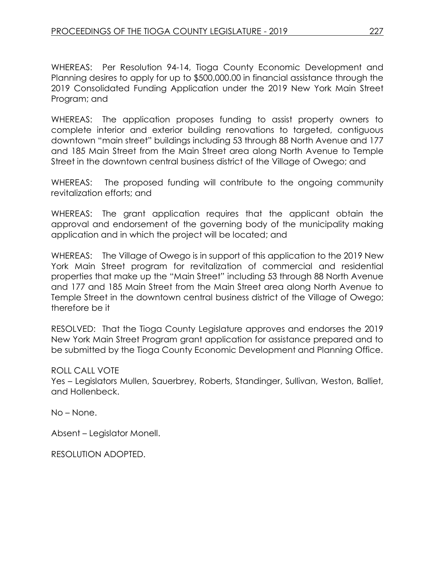WHEREAS: Per Resolution 94-14, Tioga County Economic Development and Planning desires to apply for up to \$500,000.00 in financial assistance through the 2019 Consolidated Funding Application under the 2019 New York Main Street Program; and

WHEREAS: The application proposes funding to assist property owners to complete interior and exterior building renovations to targeted, contiguous downtown "main street" buildings including 53 through 88 North Avenue and 177 and 185 Main Street from the Main Street area along North Avenue to Temple Street in the downtown central business district of the Village of Owego; and

WHEREAS: The proposed funding will contribute to the ongoing community revitalization efforts; and

WHEREAS: The grant application requires that the applicant obtain the approval and endorsement of the governing body of the municipality making application and in which the project will be located; and

WHEREAS: The Village of Owego is in support of this application to the 2019 New York Main Street program for revitalization of commercial and residential properties that make up the "Main Street" including 53 through 88 North Avenue and 177 and 185 Main Street from the Main Street area along North Avenue to Temple Street in the downtown central business district of the Village of Owego; therefore be it

RESOLVED: That the Tioga County Legislature approves and endorses the 2019 New York Main Street Program grant application for assistance prepared and to be submitted by the Tioga County Economic Development and Planning Office.

# ROLL CALL VOTE

Yes – Legislators Mullen, Sauerbrey, Roberts, Standinger, Sullivan, Weston, Balliet, and Hollenbeck.

No – None.

Absent – Legislator Monell.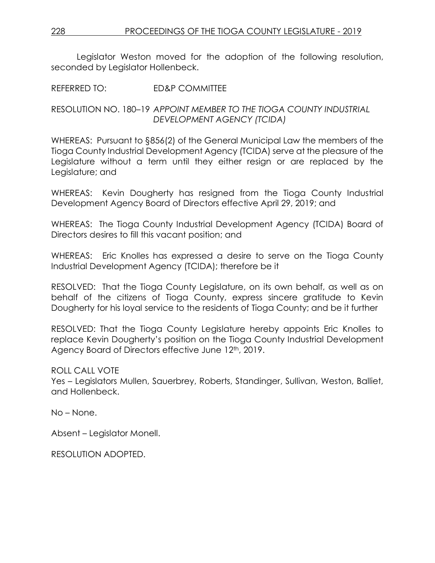Legislator Weston moved for the adoption of the following resolution, seconded by Legislator Hollenbeck.

REFERRED TO: ED&P COMMITTEE

RESOLUTION NO. 180–19 *APPOINT MEMBER TO THE TIOGA COUNTY INDUSTRIAL DEVELOPMENT AGENCY (TCIDA)*

WHEREAS: Pursuant to §856(2) of the General Municipal Law the members of the Tioga County Industrial Development Agency (TCIDA) serve at the pleasure of the Legislature without a term until they either resign or are replaced by the Legislature; and

WHEREAS: Kevin Dougherty has resigned from the Tioga County Industrial Development Agency Board of Directors effective April 29, 2019; and

WHEREAS: The Tioga County Industrial Development Agency (TCIDA) Board of Directors desires to fill this vacant position; and

WHEREAS: Eric Knolles has expressed a desire to serve on the Tioga County Industrial Development Agency (TCIDA); therefore be it

RESOLVED: That the Tioga County Legislature, on its own behalf, as well as on behalf of the citizens of Tioga County, express sincere gratitude to Kevin Dougherty for his loyal service to the residents of Tioga County; and be it further

RESOLVED: That the Tioga County Legislature hereby appoints Eric Knolles to replace Kevin Dougherty's position on the Tioga County Industrial Development Agency Board of Directors effective June 12<sup>th</sup>, 2019.

ROLL CALL VOTE

Yes – Legislators Mullen, Sauerbrey, Roberts, Standinger, Sullivan, Weston, Balliet, and Hollenbeck.

No – None.

Absent – Legislator Monell.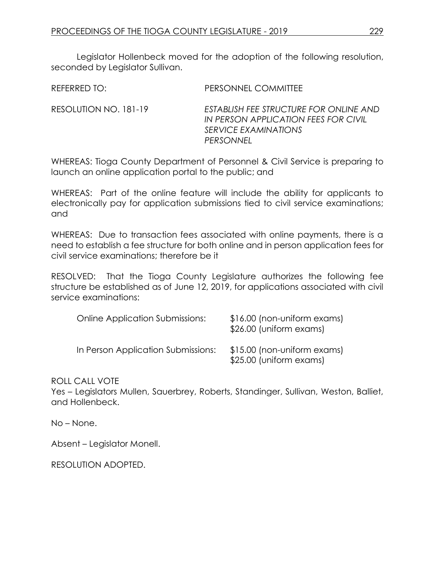Legislator Hollenbeck moved for the adoption of the following resolution, seconded by Legislator Sullivan.

| REFERRED TO:          | PERSONNEL COMMITTEE                                                                                                        |
|-----------------------|----------------------------------------------------------------------------------------------------------------------------|
| RESOLUTION NO. 181-19 | ESTABLISH FEE STRUCTURE FOR ONLINE AND<br>IN PERSON APPLICATION FEES FOR CIVIL<br><i>SERVICE EXAMINATIONS</i><br>PERSONNEL |

WHEREAS: Tioga County Department of Personnel & Civil Service is preparing to launch an online application portal to the public; and

WHEREAS: Part of the online feature will include the ability for applicants to electronically pay for application submissions tied to civil service examinations; and

WHEREAS: Due to transaction fees associated with online payments, there is a need to establish a fee structure for both online and in person application fees for civil service examinations; therefore be it

RESOLVED: That the Tioga County Legislature authorizes the following fee structure be established as of June 12, 2019, for applications associated with civil service examinations:

| <b>Online Application Submissions:</b> | \$16.00 (non-uniform exams)<br>\$26.00 (uniform exams) |
|----------------------------------------|--------------------------------------------------------|
| In Person Application Submissions:     | \$15.00 (non-uniform exams)<br>\$25.00 (uniform exams) |

#### ROLL CALL VOTE

Yes – Legislators Mullen, Sauerbrey, Roberts, Standinger, Sullivan, Weston, Balliet, and Hollenbeck.

No – None.

Absent – Legislator Monell.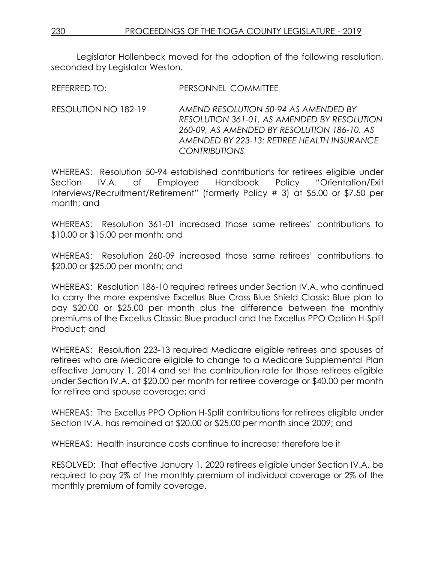Legislator Hollenbeck moved for the adoption of the following resolution, seconded by Legislator Weston.

REFERRED TO: PERSONNEL COMMITTEE

RESOLUTION NO 182-19 *AMEND RESOLUTION 50-94 AS AMENDED BY RESOLUTION 361-01, AS AMENDED BY RESOLUTION 260-09, AS AMENDED BY RESOLUTION 186-10, AS AMENDED BY 223-13: RETIREE HEALTH INSURANCE CONTRIBUTIONS*

WHEREAS: Resolution 50-94 established contributions for retirees eligible under Section IV.A. of Employee Handbook Policy "Orientation/Exit Interviews/Recruitment/Retirement" (formerly Policy # 3) at \$5.00 or \$7.50 per month; and

WHEREAS: Resolution 361-01 increased those same retirees' contributions to \$10.00 or \$15.00 per month; and

WHEREAS: Resolution 260-09 increased those same retirees' contributions to \$20.00 or \$25.00 per month; and

WHEREAS: Resolution 186-10 required retirees under Section IV.A. who continued to carry the more expensive Excellus Blue Cross Blue Shield Classic Blue plan to pay \$20.00 or \$25.00 per month plus the difference between the monthly premiums of the Excellus Classic Blue product and the Excellus PPO Option H-Split Product; and

WHEREAS: Resolution 223-13 required Medicare eligible retirees and spouses of retirees who are Medicare eligible to change to a Medicare Supplemental Plan effective January 1, 2014 and set the contribution rate for those retirees eligible under Section IV.A. at \$20.00 per month for retiree coverage or \$40.00 per month for retiree and spouse coverage; and

WHEREAS: The Excellus PPO Option H-Split contributions for retirees eligible under Section IV.A. has remained at \$20.00 or \$25.00 per month since 2009; and

WHEREAS: Health insurance costs continue to increase; therefore be it

RESOLVED: That effective January 1, 2020 retirees eligible under Section IV.A. be required to pay 2% of the monthly premium of individual coverage or 2% of the monthly premium of family coverage.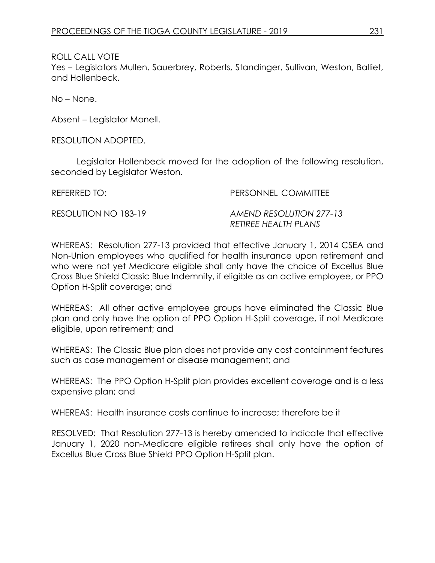ROLL CALL VOTE

Yes – Legislators Mullen, Sauerbrey, Roberts, Standinger, Sullivan, Weston, Balliet, and Hollenbeck.

No – None.

Absent – Legislator Monell.

RESOLUTION ADOPTED.

Legislator Hollenbeck moved for the adoption of the following resolution, seconded by Legislator Weston.

REFERRED TO: PERSONNEL COMMITTEE

RESOLUTION NO 183-19 *AMEND RESOLUTION 277-13 RETIREE HEALTH PLANS*

WHEREAS: Resolution 277-13 provided that effective January 1, 2014 CSEA and Non-Union employees who qualified for health insurance upon retirement and who were not yet Medicare eligible shall only have the choice of Excellus Blue Cross Blue Shield Classic Blue Indemnity, if eligible as an active employee, or PPO Option H-Split coverage; and

WHEREAS: All other active employee groups have eliminated the Classic Blue plan and only have the option of PPO Option H-Split coverage, if not Medicare eligible, upon retirement; and

WHEREAS: The Classic Blue plan does not provide any cost containment features such as case management or disease management; and

WHEREAS: The PPO Option H-Split plan provides excellent coverage and is a less expensive plan; and

WHEREAS: Health insurance costs continue to increase; therefore be it

RESOLVED: That Resolution 277-13 is hereby amended to indicate that effective January 1, 2020 non-Medicare eligible retirees shall only have the option of Excellus Blue Cross Blue Shield PPO Option H-Split plan.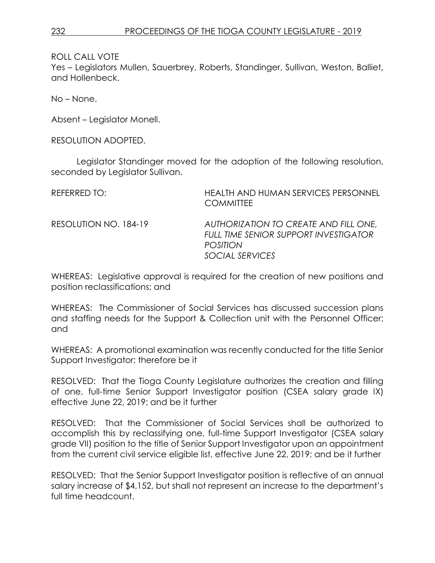ROLL CALL VOTE

Yes – Legislators Mullen, Sauerbrey, Roberts, Standinger, Sullivan, Weston, Balliet, and Hollenbeck.

No – None.

Absent – Legislator Monell.

RESOLUTION ADOPTED.

Legislator Standinger moved for the adoption of the following resolution, seconded by Legislator Sullivan.

| REFERRED TO:          | HEALTH AND HUMAN SERVICES PERSONNEL<br><b>COMMITTEE</b>                                                                     |
|-----------------------|-----------------------------------------------------------------------------------------------------------------------------|
| RESOLUTION NO. 184-19 | AUTHORIZATION TO CREATE AND FILL ONE,<br><b>FULL TIME SENIOR SUPPORT INVESTIGATOR</b><br><b>POSITION</b><br>SOCIAL SERVICES |

WHEREAS: Legislative approval is required for the creation of new positions and position reclassifications; and

WHEREAS: The Commissioner of Social Services has discussed succession plans and staffing needs for the Support & Collection unit with the Personnel Officer; and

WHEREAS: A promotional examination was recently conducted for the title Senior Support Investigator; therefore be it

RESOLVED: That the Tioga County Legislature authorizes the creation and filling of one, full-time Senior Support Investigator position (CSEA salary grade IX) effective June 22, 2019; and be it further

RESOLVED: That the Commissioner of Social Services shall be authorized to accomplish this by reclassifying one, full-time Support Investigator (CSEA salary grade VII) position to the title of Senior Support Investigator upon an appointment from the current civil service eligible list, effective June 22, 2019; and be it further

RESOLVED: That the Senior Support Investigator position is reflective of an annual salary increase of \$4,152, but shall not represent an increase to the department's full time headcount.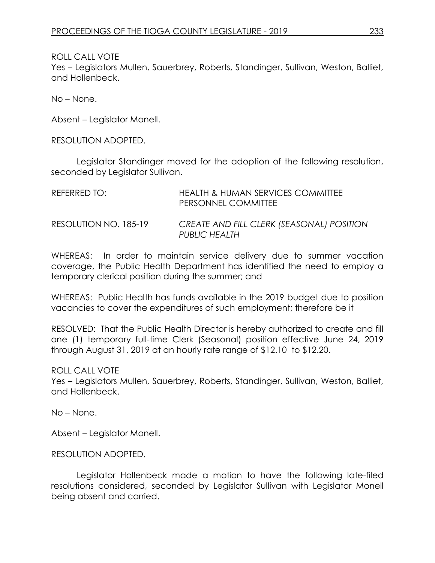ROLL CALL VOTE

Yes – Legislators Mullen, Sauerbrey, Roberts, Standinger, Sullivan, Weston, Balliet, and Hollenbeck.

No – None.

Absent – Legislator Monell.

RESOLUTION ADOPTED.

Legislator Standinger moved for the adoption of the following resolution, seconded by Legislator Sullivan.

| REFERRED TO:          | HEALTH & HUMAN SERVICES COMMITTEE<br>PERSONNEL COMMITTEE   |
|-----------------------|------------------------------------------------------------|
| RESOLUTION NO. 185-19 | CREATE AND FILL CLERK (SEASONAL) POSITION<br>PUBLIC HEALTH |

WHEREAS: In order to maintain service delivery due to summer vacation coverage, the Public Health Department has identified the need to employ a temporary clerical position during the summer; and

WHEREAS: Public Health has funds available in the 2019 budget due to position vacancies to cover the expenditures of such employment; therefore be it

RESOLVED: That the Public Health Director is hereby authorized to create and fill one (1) temporary full-time Clerk (Seasonal) position effective June 24, 2019 through August 31, 2019 at an hourly rate range of \$12.10 to \$12.20.

ROLL CALL VOTE

Yes – Legislators Mullen, Sauerbrey, Roberts, Standinger, Sullivan, Weston, Balliet, and Hollenbeck.

No – None.

Absent – Legislator Monell.

RESOLUTION ADOPTED.

Legislator Hollenbeck made a motion to have the following late-filed resolutions considered, seconded by Legislator Sullivan with Legislator Monell being absent and carried.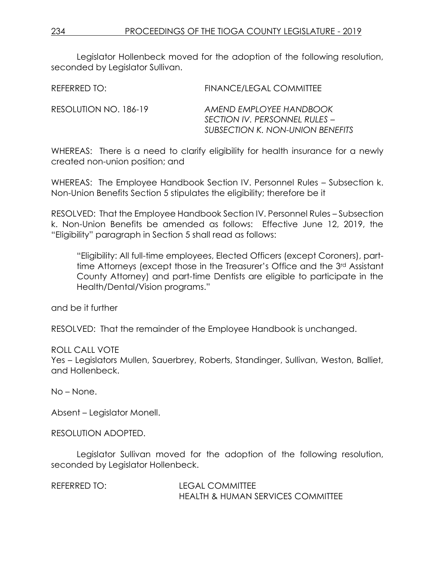Legislator Hollenbeck moved for the adoption of the following resolution, seconded by Legislator Sullivan.

| REFERRED TO:          | FINANCE/LEGAL COMMITTEE                                                                             |
|-----------------------|-----------------------------------------------------------------------------------------------------|
| RESOLUTION NO. 186-19 | AMEND EMPLOYEE HANDBOOK<br>SECTION IV. PERSONNEL RULES –<br><b>SUBSECTION K. NON-UNION BENEFITS</b> |

WHEREAS: There is a need to clarify eligibility for health insurance for a newly created non-union position; and

WHEREAS: The Employee Handbook Section IV. Personnel Rules – Subsection k. Non-Union Benefits Section 5 stipulates the eligibility; therefore be it

RESOLVED: That the Employee Handbook Section IV. Personnel Rules – Subsection k. Non-Union Benefits be amended as follows: Effective June 12, 2019, the "Eligibility" paragraph in Section 5 shall read as follows:

"Eligibility: All full-time employees, Elected Officers (except Coroners), parttime Attorneys (except those in the Treasurer's Office and the 3rd Assistant County Attorney) and part-time Dentists are eligible to participate in the Health/Dental/Vision programs."

and be it further

RESOLVED: That the remainder of the Employee Handbook is unchanged.

#### ROLL CALL VOTE

Yes – Legislators Mullen, Sauerbrey, Roberts, Standinger, Sullivan, Weston, Balliet, and Hollenbeck.

No – None.

Absent – Legislator Monell.

RESOLUTION ADOPTED.

Legislator Sullivan moved for the adoption of the following resolution, seconded by Legislator Hollenbeck.

REFERRED TO: LEGAL COMMITTEE HEALTH & HUMAN SERVICES COMMITTEE